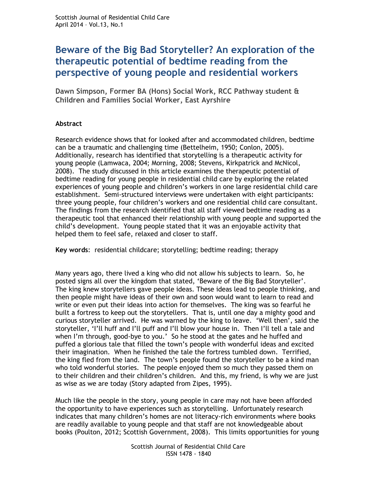# **Beware of the Big Bad Storyteller? An exploration of the therapeutic potential of bedtime reading from the perspective of young people and residential workers**

**Dawn Simpson, Former BA (Hons) Social Work, RCC Pathway student & Children and Families Social Worker, East Ayrshire**

# **Abstract**

Research evidence shows that for looked after and accommodated children, bedtime can be a traumatic and challenging time (Bettelheim, 1950; Conlon, 2005). Additionally, research has identified that storytelling is a therapeutic activity for young people (Lamwaca, 2004; Morning, 2008; Stevens, Kirkpatrick and McNicol, 2008). The study discussed in this article examines the therapeutic potential of bedtime reading for young people in residential child care by exploring the related experiences of young people and children's workers in one large residential child care establishment. Semi-structured interviews were undertaken with eight participants: three young people, four children's workers and one residential child care consultant. The findings from the research identified that all staff viewed bedtime reading as a therapeutic tool that enhanced their relationship with young people and supported the child's development. Young people stated that it was an enjoyable activity that helped them to feel safe, relaxed and closer to staff.

**Key words**: residential childcare; storytelling; bedtime reading; therapy

Many years ago, there lived a king who did not allow his subjects to learn. So, he posted signs all over the kingdom that stated, 'Beware of the Big Bad Storyteller'. The king knew storytellers gave people ideas. These ideas lead to people thinking, and then people might have ideas of their own and soon would want to learn to read and write or even put their ideas into action for themselves. The king was so fearful he built a fortress to keep out the storytellers. That is, until one day a mighty good and curious storyteller arrived. He was warned by the king to leave. 'Well then', said the storyteller, 'I'll huff and I'll puff and I'll blow your house in. Then I'll tell a tale and when I'm through, good-bye to you.' So he stood at the gates and he huffed and puffed a glorious tale that filled the town's people with wonderful ideas and excited their imagination. When he finished the tale the fortress tumbled down. Terrified, the king fled from the land. The town's people found the storyteller to be a kind man who told wonderful stories. The people enjoyed them so much they passed them on to their children and their children's children. And this, my friend, is why we are just as wise as we are today (Story adapted from Zipes, 1995).

Much like the people in the story, young people in care may not have been afforded the opportunity to have experiences such as storytelling. Unfortunately research indicates that many children's homes are not literacy-rich environments where books are readily available to young people and that staff are not knowledgeable about books (Poulton, 2012; Scottish Government, 2008). This limits opportunities for young

> Scottish Journal of Residential Child Care ISSN 1478 - 1840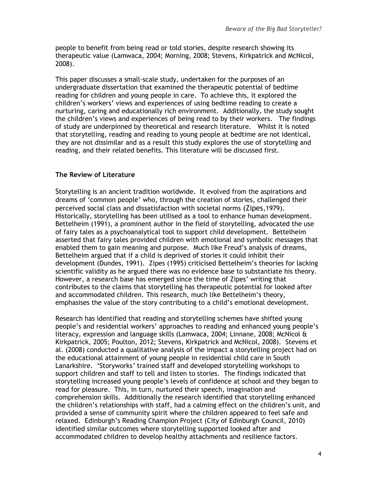people to benefit from being read or told stories, despite research showing its therapeutic value (Lamwaca, 2004; Morning, 2008; Stevens, Kirkpatrick and McNicol, 2008).

This paper discusses a small-scale study, undertaken for the purposes of an undergraduate dissertation that examined the therapeutic potential of bedtime reading for children and young people in care. To achieve this, it explored the children's workers' views and experiences of using bedtime reading to create a nurturing, caring and educationally rich environment. Additionally, the study sought the children's views and experiences of being read to by their workers. The findings of study are underpinned by theoretical and research literature. Whilst it is noted that storytelling, reading and reading to young people at bedtime are not identical, they are not dissimilar and as a result this study explores the use of storytelling and reading, and their related benefits. This literature will be discussed first.

## **The Review of Literature**

Storytelling is an ancient tradition worldwide. It evolved from the aspirations and dreams of 'common people' who, through the creation of stories, challenged their perceived social class and dissatisfaction with societal norms (Zipes,1979). Historically, storytelling has been utilised as a tool to enhance human development. Bettelheim (1991), a prominent author in the field of storytelling, advocated the use of fairy tales as a psychoanalytical tool to support child development. Bettelheim asserted that fairy tales provided children with emotional and symbolic messages that enabled them to gain meaning and purpose. Much like Freud's analysis of dreams, Bettelheim argued that if a child is deprived of stories it could inhibit their development (Dundes, 1991). Zipes (1995) criticised Bettelheim's theories for lacking scientific validity as he argued there was no evidence base to substantiate his theory. However, a research base has emerged since the time of Zipes' writing that contributes to the claims that storytelling has therapeutic potential for looked after and accommodated children. This research, much like Bettelheim's theory, emphasises the value of the story contributing to a child's emotional development.

Research has identified that reading and storytelling schemes have shifted young people's and residential workers' approaches to reading and enhanced young people's literacy, expression and language skills (Lamwaca, 2004; Linnane, 2008; McNicol & Kirkpatrick, 2005; Poulton, 2012; Stevens, Kirkpatrick and McNicol, 2008). Stevens et al. (2008) conducted a qualitative analysis of the impact a storytelling project had on the educational attainment of young people in residential child care in South Lanarkshire. 'Storyworks*'* trained staff and developed storytelling workshops to support children and staff to tell and listen to stories. The findings indicated that storytelling increased young people's levels of confidence at school and they began to read for pleasure. This, in turn, nurtured their speech, imagination and comprehension skills. Additionally the research identified that storytelling enhanced the children's relationships with staff, had a calming effect on the children's unit, and provided a sense of community spirit where the children appeared to feel safe and relaxed. Edinburgh's Reading Champion Project (City of Edinburgh Council, 2010) identified similar outcomes where storytelling supported looked after and accommodated children to develop healthy attachments and resilience factors.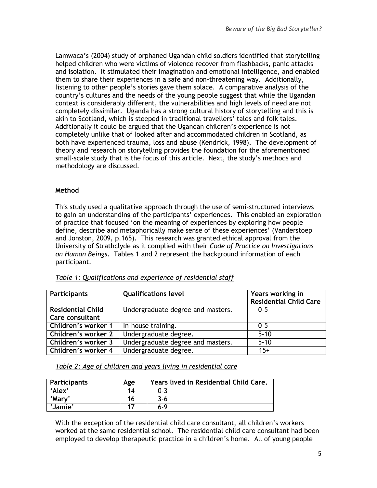Lamwaca's (2004) study of orphaned Ugandan child soldiers identified that storytelling helped children who were victims of violence recover from flashbacks, panic attacks and isolation. It stimulated their imagination and emotional intelligence, and enabled them to share their experiences in a safe and non-threatening way. Additionally, listening to other people's stories gave them solace. A comparative analysis of the country's cultures and the needs of the young people suggest that while the Ugandan context is considerably different, the vulnerabilities and high levels of need are not completely dissimilar. Uganda has a strong cultural history of storytelling and this is akin to Scotland, which is steeped in traditional travellers' tales and folk tales. Additionally it could be argued that the Ugandan children's experience is not completely unlike that of looked after and accommodated children in Scotland, as both have experienced trauma, loss and abuse (Kendrick, 1998). The development of theory and research on storytelling provides the foundation for the aforementioned small-scale study that is the focus of this article. Next, the study's methods and methodology are discussed.

# **Method**

This study used a qualitative approach through the use of semi-structured interviews to gain an understanding of the participants' experiences. This enabled an exploration of practice that focused 'on the meaning of experiences by exploring how people define, describe and metaphorically make sense of these experiences' (Vanderstoep and Jonston, 2009, p.165). This research was granted ethical approval from the University of Strathclyde as it complied with their *Code of Practice on Investigations on Human Beings*. Tables 1 and 2 represent the background information of each participant.

| <b>Participants</b>      | <b>Qualifications level</b>       | Years working in              |
|--------------------------|-----------------------------------|-------------------------------|
|                          |                                   | <b>Residential Child Care</b> |
| <b>Residential Child</b> | Undergraduate degree and masters. | $0 - 5$                       |
| Care consultant          |                                   |                               |
| Children's worker 1      | In-house training.                | $0 - 5$                       |
| Children's worker 2      | Undergraduate degree.             | $5 - 10$                      |
| Children's worker 3      | Undergraduate degree and masters. | $5 - 10$                      |
| Children's worker 4      | Undergraduate degree.             | $15+$                         |

## *Table 1: Qualifications and experience of residential staff*

*Table 2: Age of children and years living in residential care*

| <b>Participants</b> | Age | Years lived in Residential Child Care. |
|---------------------|-----|----------------------------------------|
| 'Alex'              | 14  | በ-3                                    |
| 'Mary'              | ۱b  | 3-6                                    |
| 'Jamie'             |     | $6-9$                                  |

With the exception of the residential child care consultant, all children's workers worked at the same residential school. The residential child care consultant had been employed to develop therapeutic practice in a children's home. All of young people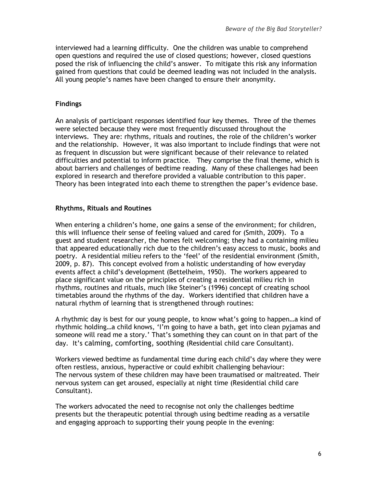interviewed had a learning difficulty. One the children was unable to comprehend open questions and required the use of closed questions; however, closed questions posed the risk of influencing the child's answer. To mitigate this risk any information gained from questions that could be deemed leading was not included in the analysis. All young people's names have been changed to ensure their anonymity.

#### **Findings**

An analysis of participant responses identified four key themes. Three of the themes were selected because they were most frequently discussed throughout the interviews. They are: rhythms, rituals and routines, the role of the children's worker and the relationship. However, it was also important to include findings that were not as frequent in discussion but were significant because of their relevance to related difficulties and potential to inform practice. They comprise the final theme, which is about barriers and challenges of bedtime reading. Many of these challenges had been explored in research and therefore provided a valuable contribution to this paper. Theory has been integrated into each theme to strengthen the paper's evidence base.

#### **Rhythms, Rituals and Routines**

When entering a children's home, one gains a sense of the environment; for children, this will influence their sense of feeling valued and cared for (Smith, 2009). To a guest and student researcher, the homes felt welcoming; they had a containing milieu that appeared educationally rich due to the children's easy access to music, books and poetry. A residential milieu refers to the 'feel' of the residential environment (Smith, 2009, p. 87). This concept evolved from a holistic understanding of how everyday events affect a child's development (Bettelheim, 1950). The workers appeared to place significant value on the principles of creating a residential milieu rich in rhythms, routines and rituals, much like Steiner's (1996) concept of creating school timetables around the rhythms of the day. Workers identified that children have a natural rhythm of learning that is strengthened through routines:

A rhythmic day is best for our young people, to know what's going to happen…a kind of rhythmic holding…a child knows, 'I'm going to have a bath, get into clean pyjamas and someone will read me a story.' That's something they can count on in that part of the day. It's calming, comforting, soothing (Residential child care Consultant).

Workers viewed bedtime as fundamental time during each child's day where they were often restless, anxious, hyperactive or could exhibit challenging behaviour: The nervous system of these children may have been traumatised or maltreated. Their nervous system can get aroused, especially at night time (Residential child care Consultant).

The workers advocated the need to recognise not only the challenges bedtime presents but the therapeutic potential through using bedtime reading as a versatile and engaging approach to supporting their young people in the evening: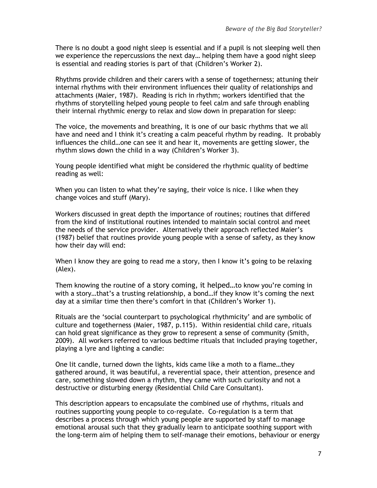There is no doubt a good night sleep is essential and if a pupil is not sleeping well then we experience the repercussions the next day… helping them have a good night sleep is essential and reading stories is part of that (Children's Worker 2).

Rhythms provide children and their carers with a sense of togetherness; attuning their internal rhythms with their environment influences their quality of relationships and attachments (Maier, 1987). Reading is rich in rhythm; workers identified that the rhythms of storytelling helped young people to feel calm and safe through enabling their internal rhythmic energy to relax and slow down in preparation for sleep:

The voice, the movements and breathing, it is one of our basic rhythms that we all have and need and I think it's creating a calm peaceful rhythm by reading. It probably influences the child…one can see it and hear it, movements are getting slower, the rhythm slows down the child in a way (Children's Worker 3).

Young people identified what might be considered the rhythmic quality of bedtime reading as well:

When you can listen to what they're saying, their voice is nice. I like when they change voices and stuff (Mary).

Workers discussed in great depth the importance of routines; routines that differed from the kind of institutional routines intended to maintain social control and meet the needs of the service provider. Alternatively their approach reflected Maier's (1987) belief that routines provide young people with a sense of safety, as they know how their day will end:

When I know they are going to read me a story, then I know it's going to be relaxing (Alex).

Them knowing the routine of a story coming, it helped…to know you're coming in with a story…that's a trusting relationship, a bond…if they know it's coming the next day at a similar time then there's comfort in that (Children's Worker 1).

Rituals are the 'social counterpart to psychological rhythmicity' and are symbolic of culture and togetherness (Maier, 1987, p.115). Within residential child care, rituals can hold great significance as they grow to represent a sense of community (Smith, 2009). All workers referred to various bedtime rituals that included praying together, playing a lyre and lighting a candle:

One lit candle, turned down the lights, kids came like a moth to a flame…they gathered around, it was beautiful, a reverential space, their attention, presence and care, something slowed down a rhythm, they came with such curiosity and not a destructive or disturbing energy (Residential Child Care Consultant).

This description appears to encapsulate the combined use of rhythms, rituals and routines supporting young people to co-regulate. Co-regulation is a term that describes a process through which young people are supported by staff to manage emotional arousal such that they gradually learn to anticipate soothing support with the long-term aim of helping them to self-manage their emotions, behaviour or energy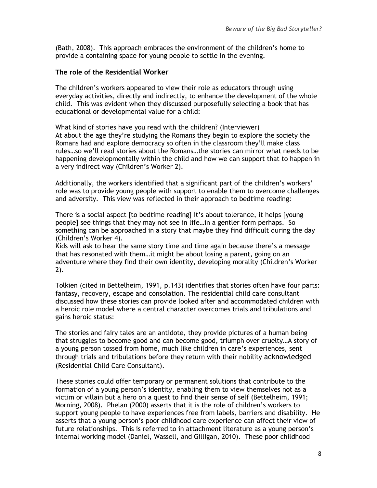(Bath, 2008). This approach embraces the environment of the children's home to provide a containing space for young people to settle in the evening.

#### **The role of the Residential Worker**

The children's workers appeared to view their role as educators through using everyday activities, directly and indirectly, to enhance the development of the whole child. This was evident when they discussed purposefully selecting a book that has educational or developmental value for a child:

What kind of stories have you read with the children? (Interviewer) At about the age they're studying the Romans they begin to explore the society the Romans had and explore democracy so often in the classroom they'll make class rules…so we'll read stories about the Romans…the stories can mirror what needs to be happening developmentally within the child and how we can support that to happen in a very indirect way (Children's Worker 2).

Additionally, the workers identified that a significant part of the children's workers' role was to provide young people with support to enable them to overcome challenges and adversity. This view was reflected in their approach to bedtime reading:

There is a social aspect [to bedtime reading] it's about tolerance, it helps [young people] see things that they may not see in life…in a gentler form perhaps. So something can be approached in a story that maybe they find difficult during the day (Children's Worker 4).

Kids will ask to hear the same story time and time again because there's a message that has resonated with them…it might be about losing a parent, going on an adventure where they find their own identity, developing morality (Children's Worker 2).

Tolkien (cited in Bettelheim, 1991, p.143) identifies that stories often have four parts: fantasy, recovery, escape and consolation. The residential child care consultant discussed how these stories can provide looked after and accommodated children with a heroic role model where a central character overcomes trials and tribulations and gains heroic status:

The stories and fairy tales are an antidote, they provide pictures of a human being that struggles to become good and can become good, triumph over cruelty…A story of a young person tossed from home, much like children in care's experiences, sent through trials and tribulations before they return with their nobility acknowledged (Residential Child Care Consultant).

These stories could offer temporary or permanent solutions that contribute to the formation of a young person's identity, enabling them to view themselves not as a victim or villain but a hero on a quest to find their sense of self (Bettelheim, 1991; Morning, 2008). Phelan (2000) asserts that it is the role of children's workers to support young people to have experiences free from labels, barriers and disability. He asserts that a young person's poor childhood care experience can affect their view of future relationships. This is referred to in attachment literature as a young person's internal working model (Daniel, Wassell, and Gilligan, 2010). These poor childhood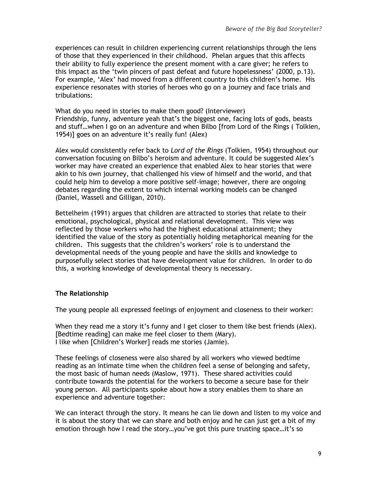experiences can result in children experiencing current relationships through the lens of those that they experienced in their childhood. Phelan argues that this affects their ability to fully experience the present moment with a care giver; he refers to this impact as the 'twin pincers of past defeat and future hopelessness' (2000, p.13). For example, 'Alex' had moved from a different country to this children's home. His experience resonates with stories of heroes who go on a journey and face trials and tribulations:

What do you need in stories to make them good? (Interviewer) Friendship, funny, adventure yeah that's the biggest one, facing lots of gods, beasts and stuff…when I go on an adventure and when Bilbo [from Lord of the Rings ( Tolkien, 1954)] goes on an adventure it's really fun! (Alex)

Alex would consistently refer back to *Lord of the Rings* (Tolkien, 1954) throughout our conversation focusing on Bilbo's heroism and adventure. It could be suggested Alex's worker may have created an experience that enabled Alex to hear stories that were akin to his own journey, that challenged his view of himself and the world, and that could help him to develop a more positive self-image; however, there are ongoing debates regarding the extent to which internal working models can be changed (Daniel, Wassell and Gilligan, 2010).

Bettelheim (1991) argues that children are attracted to stories that relate to their emotional, psychological, physical and relational development. This view was reflected by those workers who had the highest educational attainment; they identified the value of the story as potentially holding metaphorical meaning for the children. This suggests that the children's workers' role is to understand the developmental needs of the young people and have the skills and knowledge to purposefully select stories that have development value for children. In order to do this, a working knowledge of developmental theory is necessary.

## **The Relationship**

The young people all expressed feelings of enjoyment and closeness to their worker:

When they read me a story it's funny and I get closer to them like best friends (Alex). [Bedtime reading] can make me feel closer to them (Mary). I like when [Children's Worker] reads me stories (Jamie).

These feelings of closeness were also shared by all workers who viewed bedtime reading as an intimate time when the children feel a sense of belonging and safety, the most basic of human needs (Maslow, 1971). These shared activities could contribute towards the potential for the workers to become a secure base for their young person. All participants spoke about how a story enables them to share an experience and adventure together:

We can interact through the story. It means he can lie down and listen to my voice and it is about the story that we can share and both enjoy and he can just get a bit of my emotion through how I read the story…you've got this pure trusting space…it's so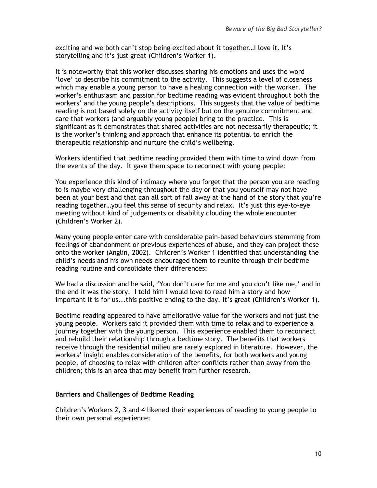exciting and we both can't stop being excited about it together…I love it. It's storytelling and it's just great (Children's Worker 1).

It is noteworthy that this worker discusses sharing his emotions and uses the word 'love' to describe his commitment to the activity. This suggests a level of closeness which may enable a young person to have a healing connection with the worker. The worker's enthusiasm and passion for bedtime reading was evident throughout both the workers' and the young people's descriptions. This suggests that the value of bedtime reading is not based solely on the activity itself but on the genuine commitment and care that workers (and arguably young people) bring to the practice. This is significant as it demonstrates that shared activities are not necessarily therapeutic; it is the worker's thinking and approach that enhance its potential to enrich the therapeutic relationship and nurture the child's wellbeing.

Workers identified that bedtime reading provided them with time to wind down from the events of the day. It gave them space to reconnect with young people:

You experience this kind of intimacy where you forget that the person you are reading to is maybe very challenging throughout the day or that you yourself may not have been at your best and that can all sort of fall away at the hand of the story that you're reading together…you feel this sense of security and relax. It's just this eye-to-eye meeting without kind of judgements or disability clouding the whole encounter (Children's Worker 2).

Many young people enter care with considerable pain-based behaviours stemming from feelings of abandonment or previous experiences of abuse, and they can project these onto the worker (Anglin, 2002). Children's Worker 1 identified that understanding the child's needs and his own needs encouraged them to reunite through their bedtime reading routine and consolidate their differences:

We had a discussion and he said, 'You don't care for me and you don't like me,' and in the end it was the story. I told him I would love to read him a story and how important it is for us...this positive ending to the day. It's great (Children's Worker 1).

Bedtime reading appeared to have ameliorative value for the workers and not just the young people. Workers said it provided them with time to relax and to experience a journey together with the young person. This experience enabled them to reconnect and rebuild their relationship through a bedtime story. The benefits that workers receive through the residential milieu are rarely explored in literature. However, the workers' insight enables consideration of the benefits, for both workers and young people, of choosing to relax with children after conflicts rather than away from the children; this is an area that may benefit from further research.

#### **Barriers and Challenges of Bedtime Reading**

Children's Workers 2, 3 and 4 likened their experiences of reading to young people to their own personal experience: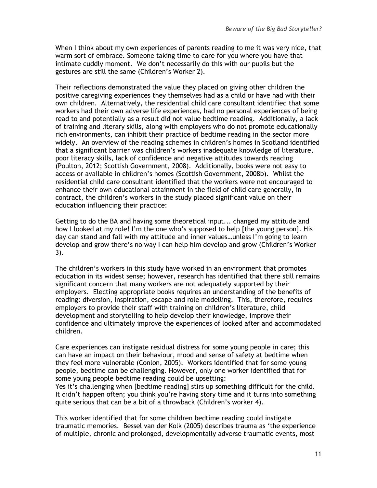When I think about my own experiences of parents reading to me it was very nice, that warm sort of embrace. Someone taking time to care for you where you have that intimate cuddly moment. We don't necessarily do this with our pupils but the gestures are still the same (Children's Worker 2).

Their reflections demonstrated the value they placed on giving other children the positive caregiving experiences they themselves had as a child or have had with their own children. Alternatively, the residential child care consultant identified that some workers had their own adverse life experiences, had no personal experiences of being read to and potentially as a result did not value bedtime reading. Additionally, a lack of training and literary skills, along with employers who do not promote educationally rich environments, can inhibit their practice of bedtime reading in the sector more widely. An overview of the reading schemes in children's homes in Scotland identified that a significant barrier was children's workers inadequate knowledge of literature, poor literacy skills, lack of confidence and negative attitudes towards reading (Poulton, 2012; Scottish Government, 2008). Additionally, books were not easy to access or available in children's homes (Scottish Government, 2008b). Whilst the residential child care consultant identified that the workers were not encouraged to enhance their own educational attainment in the field of child care generally, in contract, the children's workers in the study placed significant value on their education influencing their practice:

Getting to do the BA and having some theoretical input... changed my attitude and how I looked at my role! I'm the one who's supposed to help [the young person]. His day can stand and fall with my attitude and inner values…unless I'm going to learn develop and grow there's no way I can help him develop and grow (Children's Worker 3).

The children's workers in this study have worked in an environment that promotes education in its widest sense; however, research has identified that there still remains significant concern that many workers are not adequately supported by their employers. Electing appropriate books requires an understanding of the benefits of reading: diversion, inspiration, escape and role modelling. This, therefore, requires employers to provide their staff with training on children's literature, child development and storytelling to help develop their knowledge, improve their confidence and ultimately improve the experiences of looked after and accommodated children.

Care experiences can instigate residual distress for some young people in care; this can have an impact on their behaviour, mood and sense of safety at bedtime when they feel more vulnerable (Conlon, 2005). Workers identified that for some young people, bedtime can be challenging. However, only one worker identified that for some young people bedtime reading could be upsetting:

Yes it's challenging when [bedtime reading] stirs up something difficult for the child. It didn't happen often; you think you're having story time and it turns into something quite serious that can be a bit of a throwback (Children's worker 4).

This worker identified that for some children bedtime reading could instigate traumatic memories. Bessel van der Kolk (2005) describes trauma as 'the experience of multiple, chronic and prolonged, developmentally adverse traumatic events, most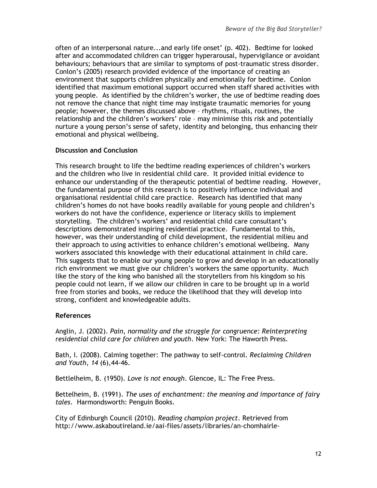often of an interpersonal nature...and early life onset' (p. 402). Bedtime for looked after and accommodated children can trigger hyperarousal, hypervigilance or avoidant behaviours; behaviours that are similar to symptoms of post-traumatic stress disorder. Conlon's (2005) research provided evidence of the importance of creating an environment that supports children physically and emotionally for bedtime. Conlon identified that maximum emotional support occurred when staff shared activities with young people. As identified by the children's worker, the use of bedtime reading does not remove the chance that night time may instigate traumatic memories for young people; however, the themes discussed above – rhythms, rituals, routines, the relationship and the children's workers' role – may minimise this risk and potentially nurture a young person's sense of safety, identity and belonging, thus enhancing their emotional and physical wellbeing.

## **Discussion and Conclusion**

This research brought to life the bedtime reading experiences of children's workers and the children who live in residential child care. It provided initial evidence to enhance our understanding of the therapeutic potential of bedtime reading. However, the fundamental purpose of this research is to positively influence individual and organisational residential child care practice. Research has identified that many children's homes do not have books readily available for young people and children's workers do not have the confidence, experience or literacy skills to implement storytelling. The children's workers' and residential child care consultant's descriptions demonstrated inspiring residential practice. Fundamental to this, however, was their understanding of child development, the residential milieu and their approach to using activities to enhance children's emotional wellbeing. Many workers associated this knowledge with their educational attainment in child care. This suggests that to enable our young people to grow and develop in an educationally rich environment we must give our children's workers the same opportunity. Much like the story of the king who banished all the storytellers from his kingdom so his people could not learn, if we allow our children in care to be brought up in a world free from stories and books, we reduce the likelihood that they will develop into strong, confident and knowledgeable adults.

## **References**

Anglin, J. (2002). *Pain, normality and the struggle for congruence: Reinterpreting residential child care for children and youth*. New York: The Haworth Press.

Bath, I. (2008). Calming together: The pathway to self-control. *Reclaiming Children and Youth*, *14* (6),44-46.

Bettlelheim, B. (1950). *Love is not enough*. Glencoe, IL: The Free Press.

Bettelheim, B. (1991). *The uses of enchantment: the meaning and importance of fairy tales*. Harmondsworth: Penguin Books.

City of Edinburgh Council (2010). *Reading champion project*. Retrieved from http://www.askaboutireland.ie/aai-files/assets/libraries/an-chomhairle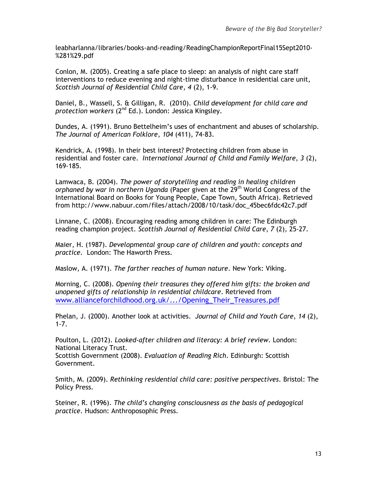leabharlanna/libraries/books-and-reading/ReadingChampionReportFinal15Sept2010- %281%29.pdf

Conlon, M. (2005). Creating a safe place to sleep: an analysis of night care staff interventions to reduce evening and night-time disturbance in residential care unit, *Scottish Journal of Residential Child Care*, *4* (2), 1-9.

Daniel, B., Wassell, S. & Gilligan, R. (2010). *Child development for child care and protection workers* (2nd Ed.). London: Jessica Kingsley.

Dundes, A. (1991). Bruno Bettelheim's uses of enchantment and abuses of scholarship. *The Journal of American Folklore*, *104* (411), 74-83.

Kendrick, A. (1998). In their best interest? Protecting children from abuse in residential and foster care. *International Journal of Child and Family Welfare*, *3* (2), 169-185.

Lamwaca, B. (2004). *The power of storytelling and reading in healing children orphaned by war in northern Uganda* (Paper given at the 29<sup>th</sup> World Congress of the International Board on Books for Young People, Cape Town, South Africa). Retrieved from http://www.nabuur.com/files/attach/2008/10/task/doc\_45bec6fdc42c7.pdf

Linnane, C. (2008). Encouraging reading among children in care: The Edinburgh reading champion project. *Scottish Journal of Residential Child Care*, *7* (2), 25-27.

Maier, H. (1987). *Developmental group care of children and youth: concepts and practice*. London: The Haworth Press.

Maslow, A. (1971). *The farther reaches of human nature*. New York: Viking.

Morning, C. (2008). *Opening their treasures they offered him gifts: the broken and unopened gifts of relationship in residential childcare*. Retrieved from [www.allianceforchildhood.org.uk/.../Opening\\_Their\\_Treasures.pdf](http://www.allianceforchildhood.org.uk/.../Opening_Their_Treasures.pdf)

Phelan, J. (2000). Another look at activities. *Journal of Child and Youth Care*, *14* (2), 1-7.

Poulton, L. (2012). *Looked-after children and literacy: A brief review*. London: National Literacy Trust. Scottish Government (2008). *Evaluation of Reading Rich*. Edinburgh: Scottish Government.

Smith, M. (2009). *Rethinking residential child care: positive perspectives*. Bristol: The Policy Press.

Steiner, R. (1996). *The child's changing consciousness as the basis of pedagogical practice*. Hudson: Anthroposophic Press.